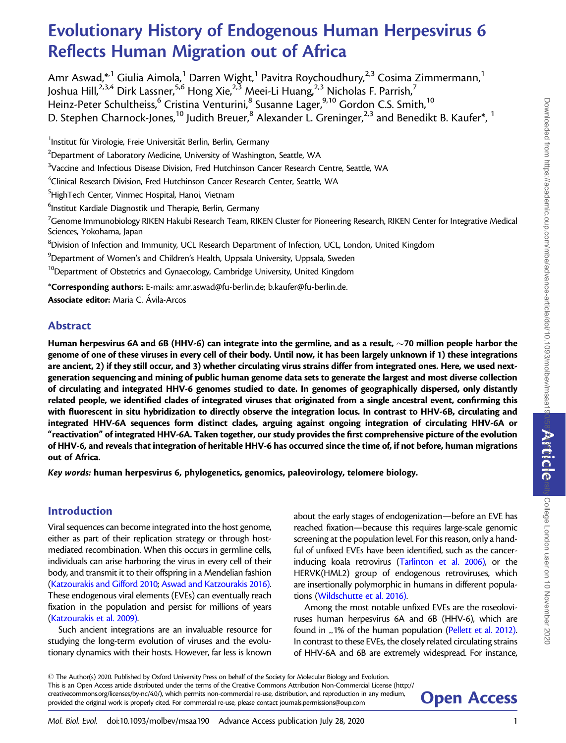# Evolutionary History of Endogenous Human Herpesvirus 6 Reflects Human Migration out of Africa

Amr Aswad,\*<sup>1</sup> Giulia Aimola,<sup>1</sup> Darren Wight,<sup>1</sup> Pavitra Roychoudhury,<sup>2,3</sup> Cosima Zimmermann,<sup>1</sup> Joshua Hill,<sup>2,3,4</sup> Dirk Lassner,<sup>5,6</sup> Hong Xie,<sup>2,3</sup> Meei-Li Huang,<sup>2,3</sup> Nicholas F. Parrish,<sup>7</sup> Heinz-Peter Schultheiss,<sup>6</sup> Cristina Venturini,<sup>8</sup> Susanne Lager,<sup>9,10</sup> Gordon C.S. Smith,<sup>10</sup> D. Stephen Charnock-Jones,<sup>10</sup> Judith Breuer,<sup>8</sup> Alexander L. Greninger,<sup>2,3</sup> and Benedikt B. Kaufer<sup>\*</sup>,<sup>1</sup>

<sup>1</sup>Institut für Virologie, Freie Universität Berlin, Berlin, Germany  $^2$ Department of Laboratory Medicine, University of Washington, Seattle, WA  $\mathrm{^{3}}$ Vaccine and Infectious Disease Division, Fred Hutchinson Cancer Research Centre, Seattle, WA  $\mathrm{^4}$ Clinical Research Division, Fred Hutchinson Cancer Research Center, Seattle, WA <sup>5</sup>HighTech Center, Vinmec Hospital, Hanoi, Vietnam  $\rm ^6$ Institut Kardiale Diagnostik und Therapie, Berlin, Germany  $^7$ Genome Immunobiology RIKEN Hakubi Research Team, RIKEN Cluster for Pioneering Research, RIKEN Center for Integrative Medical Sciences, Yokohama, Japan <sup>8</sup>Division of Infection and Immunity, UCL Research Department of Infection, UCL, London, United Kingdom  $^9$ Department of Women's and Children's Health, Uppsala University, Uppsala, Sweden  $^{10}$ Department of Obstetrics and Gynaecology, Cambridge University, United Kingdom \*Corresponding authors: E-mails: amr.aswad@fu-berlin.de; b.kaufer@fu-berlin.de. Associate editor: Maria C. Ávila-Arcos

# Abstract

Human herpesvirus 6A and 6B (HHV-6) can integrate into the germline, and as a result,  $\sim$ 70 million people harbor the genome of one of these viruses in every cell of their body. Until now, it has been largely unknown if 1) these integrations are ancient, 2) if they still occur, and 3) whether circulating virus strains differ from integrated ones. Here, we used nextgeneration sequencing and mining of public human genome data sets to generate the largest and most diverse collection of circulating and integrated HHV-6 genomes studied to date. In genomes of geographically dispersed, only distantly related people, we identified clades of integrated viruses that originated from a single ancestral event, confirming this with fluorescent in situ hybridization to directly observe the integration locus. In contrast to HHV-6B, circulating and integrated HHV-6A sequences form distinct clades, arguing against ongoing integration of circulating HHV-6A or "reactivation" of integrated HHV-6A. Taken together, our study provides the first comprehensive picture of the evolution of HHV-6, and reveals that integration of heritable HHV-6 has occurred since the time of, if not before, human migrations out of Africa.

Key words: human herpesvirus 6, phylogenetics, genomics, paleovirology, telomere biology.

# Introduction

Viral sequences can become integrated into the host genome, either as part of their replication strategy or through hostmediated recombination. When this occurs in germline cells, individuals can arise harboring the virus in every cell of their body, and transmit it to their offspring in a Mendelian fashion ([Katzourakis and Gifford 2010;](#page-10-0) [Aswad and Katzourakis 2016\).](#page-9-0) These endogenous viral elements (EVEs) can eventually reach fixation in the population and persist for millions of years ([Katzourakis et al. 2009\)](#page-10-0).

Such ancient integrations are an invaluable resource for studying the long-term evolution of viruses and the evolutionary dynamics with their hosts. However, far less is known about the early stages of endogenization—before an EVE has reached fixation—because this requires large-scale genomic screening at the population level. For this reason, only a handful of unfixed EVEs have been identified, such as the cancerinducing koala retrovirus [\(Tarlinton et al. 2006\)](#page-11-0), or the HERVK(HML2) group of endogenous retroviruses, which are insertionally polymorphic in humans in different populations [\(Wildschutte et al. 2016\).](#page-11-0)

Among the most notable unfixed EVEs are the roseoloviruses human herpesvirus 6A and 6B (HHV-6), which are found in 21% of the human population [\(Pellett et al. 2012\).](#page-11-0) In contrast to these EVEs, the closely related circulating strains of HHV-6A and 6B are extremely widespread. For instance,

- The Author(s) 2020. Published by Oxford University Press on behalf of the Society for Molecular Biology and Evolution. This is an Open Access article distributed under the terms of the Creative Commons Attribution Non-Commercial License (http:// creativecommons.org/licenses/by-nc/4.0/), which permits non-commercial re-use, distribution, and reproduction in any medium.<br>provided the original work is properly cited. For commercial re-use, please contact journals.perm

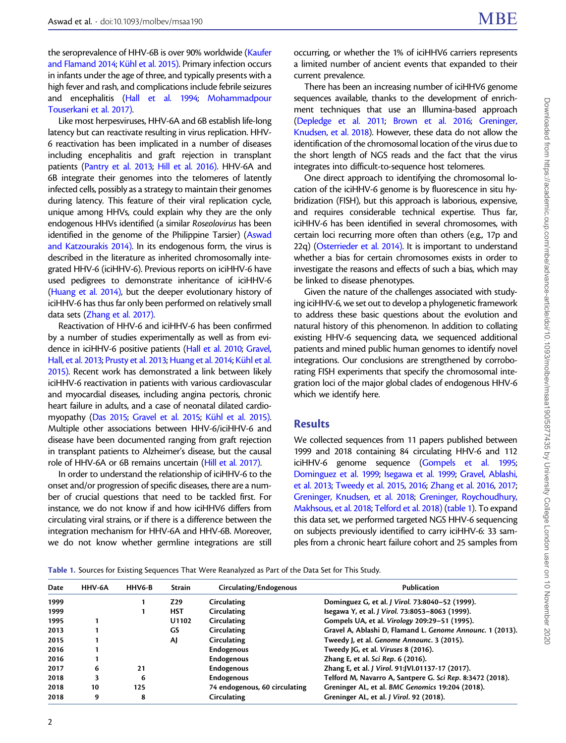<span id="page-1-0"></span>the seroprevalence of HHV-6B is over 90% worldwide [\(Kaufer](#page-10-0) [and Flamand 2014;](#page-10-0) Kühl et al. 2015). Primary infection occurs in infants under the age of three, and typically presents with a high fever and rash, and complications include febrile seizures and encephalitis [\(Hall et al. 1994;](#page-10-0) [Mohammadpour](#page-10-0) [Touserkani et al. 2017\)](#page-10-0).

Like most herpesviruses, HHV-6A and 6B establish life-long latency but can reactivate resulting in virus replication. HHV-6 reactivation has been implicated in a number of diseases including encephalitis and graft rejection in transplant patients [\(Pantry et al. 2013](#page-10-0); [Hill et al. 2016\)](#page-10-0). HHV-6A and 6B integrate their genomes into the telomeres of latently infected cells, possibly as a strategy to maintain their genomes during latency. This feature of their viral replication cycle, unique among HHVs, could explain why they are the only endogenous HHVs identified (a similar Roseolovirus has been identified in the genome of the Philippine Tarsier) ([Aswad](#page-9-0) [and Katzourakis 2014\).](#page-9-0) In its endogenous form, the virus is described in the literature as inherited chromosomally integrated HHV-6 (iciHHV-6). Previous reports on iciHHV-6 have used pedigrees to demonstrate inheritance of iciHHV-6 ([Huang et al. 2014\)](#page-10-0), but the deeper evolutionary history of iciHHV-6 has thus far only been performed on relatively small data sets [\(Zhang et al. 2017\).](#page-11-0)

Reactivation of HHV-6 and iciHHV-6 has been confirmed by a number of studies experimentally as well as from evidence in iciHHV-6 positive patients [\(Hall et al. 2010](#page-10-0); [Gravel,](#page-10-0) [Hall, et al. 2013](#page-10-0); [Prusty et al. 2013;](#page-11-0) [Huang et al. 2014](#page-10-0); Kühl et al. [2015\)](#page-10-0). Recent work has demonstrated a link between likely iciHHV-6 reactivation in patients with various cardiovascular and myocardial diseases, including angina pectoris, chronic heart failure in adults, and a case of neonatal dilated cardio-myopathy [\(Das 2015;](#page-10-0) [Gravel et al. 2015;](#page-10-0) Kühl et al. 2015). Multiple other associations between HHV-6/iciHHV-6 and disease have been documented ranging from graft rejection in transplant patients to Alzheimer's disease, but the causal role of HHV-6A or 6B remains uncertain [\(Hill et al. 2017\).](#page-10-0)

In order to understand the relationship of iciHHV-6 to the onset and/or progression of specific diseases, there are a number of crucial questions that need to be tackled first. For instance, we do not know if and how iciHHV6 differs from circulating viral strains, or if there is a difference between the integration mechanism for HHV-6A and HHV-6B. Moreover, we do not know whether germline integrations are still

occurring, or whether the 1% of iciHHV6 carriers represents a limited number of ancient events that expanded to their current prevalence.

There has been an increasing number of iciHHV6 genome sequences available, thanks to the development of enrichment techniques that use an Illumina-based approach [\(Depledge et al. 2011;](#page-10-0) [Brown et al. 2016](#page-9-0); [Greninger,](#page-10-0) [Knudsen, et al. 2018](#page-10-0)). However, these data do not allow the identification of the chromosomal location of the virus due to the short length of NGS reads and the fact that the virus integrates into difficult-to-sequence host telomeres.

One direct approach to identifying the chromosomal location of the iciHHV-6 genome is by fluorescence in situ hybridization (FISH), but this approach is laborious, expensive, and requires considerable technical expertise. Thus far, iciHHV-6 has been identified in several chromosomes, with certain loci recurring more often than others (e.g., 17p and 22q) [\(Osterrieder et al. 2014\)](#page-10-0). It is important to understand whether a bias for certain chromosomes exists in order to investigate the reasons and effects of such a bias, which may be linked to disease phenotypes.

Given the nature of the challenges associated with studying iciHHV-6, we set out to develop a phylogenetic framework to address these basic questions about the evolution and natural history of this phenomenon. In addition to collating existing HHV-6 sequencing data, we sequenced additional patients and mined public human genomes to identify novel integrations. Our conclusions are strengthened by corroborating FISH experiments that specify the chromosomal integration loci of the major global clades of endogenous HHV-6 which we identify here.

# **Results**

We collected sequences from 11 papers published between 1999 and 2018 containing 84 circulating HHV-6 and 112 iciHHV-6 genome sequence [\(Gompels et al. 1995;](#page-10-0) [Dominguez et al. 1999;](#page-10-0) [Isegawa et al. 1999;](#page-10-0) [Gravel, Ablashi,](#page-10-0) [et al. 2013;](#page-10-0) [Tweedy et al. 2015,](#page-11-0) [2016](#page-11-0); [Zhang et al. 2016,](#page-11-0) [2017;](#page-11-0) [Greninger, Knudsen, et al. 2018;](#page-10-0) [Greninger, Roychoudhury,](#page-10-0) [Makhsous, et al. 2018;](#page-10-0) [Telford et al. 2018\)](#page-11-0) (table 1). To expand this data set, we performed targeted NGS HHV-6 sequencing on subjects previously identified to carry iciHHV-6: 33 samples from a chronic heart failure cohort and 25 samples from

Table 1. Sources for Existing Sequences That Were Reanalyzed as Part of the Data Set for This Study.

| Date | <b>HHV-6A</b> | HHV6-B | <b>Strain</b> | Circulating/Endogenous        | Publication                                               |
|------|---------------|--------|---------------|-------------------------------|-----------------------------------------------------------|
| 1999 |               |        | Z29           | Circulating                   | Dominguez G, et al. J Virol. 73:8040-52 (1999).           |
| 1999 |               |        | <b>HST</b>    | Circulating                   | Isegawa Y, et al. J Virol. 73:8053-8063 (1999).           |
| 1995 |               |        | U1102         | Circulating                   | Gompels UA, et al. Virology 209:29-51 (1995).             |
| 2013 |               |        | GS            | Circulating                   | Gravel A, Ablashi D, Flamand L. Genome Announc. 1 (2013). |
| 2015 |               |        | AJ            | Circulating                   | Tweedy J, et al. Genome Announc. 3 (2015).                |
| 2016 |               |        |               | Endogenous                    | Tweedy JG, et al. Viruses 8 (2016).                       |
| 2016 |               |        |               | Endogenous                    | Zhang E, et al. Sci Rep. 6 (2016).                        |
| 2017 | 6             | 21     |               | <b>Endogenous</b>             | Zhang E, et al. J Virol. 91:JVI.01137-17 (2017).          |
| 2018 | 3             | 6      |               | <b>Endogenous</b>             | Telford M, Navarro A, Santpere G. Sci Rep. 8:3472 (2018). |
| 2018 | 10            | 125    |               | 74 endogenous, 60 circulating | Greninger AL, et al. BMC Genomics 19:204 (2018).          |
| 2018 | 9             | 8      |               | Circulating                   | Greninger AL, et al. J Virol. 92 (2018).                  |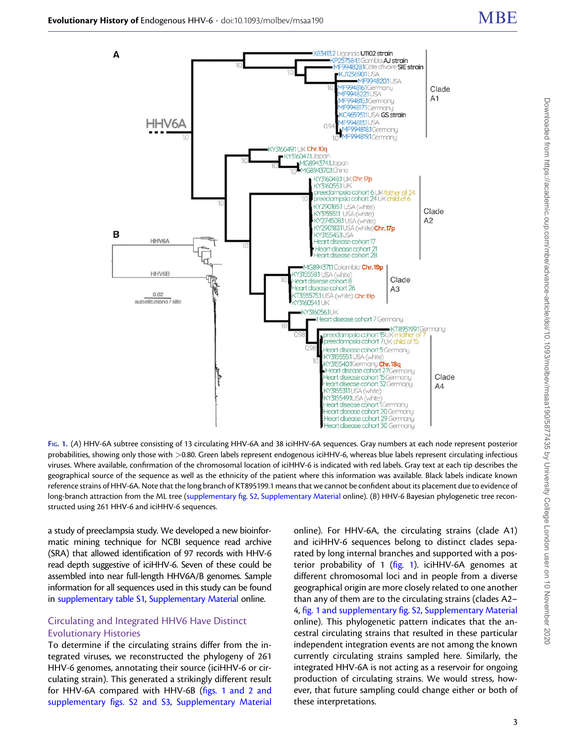<span id="page-2-0"></span>

FIG. 1. (A) HHV-6A subtree consisting of 13 circulating HHV-6A and 38 iciHHV-6A sequences. Gray numbers at each node represent posterior probabilities, showing only those with >0.80. Green labels represent endogenous iciHHV-6, whereas blue labels represent circulating infectious viruses. Where available, confirmation of the chromosomal location of iciHHV-6 is indicated with red labels. Gray text at each tip describes the geographical source of the sequence as well as the ethnicity of the patient where this information was available. Black labels indicate known reference strains of HHV-6A. Note that the long branch of KT895199.1 means that we cannot be confident about its placement due to evidence of long-branch attraction from the ML tree (supplementary fig. S2, Supplementary Material online). (B) HHV-6 Bayesian phylogenetic tree reconstructed using 261 HHV-6 and iciHHV-6 sequences.

a study of preeclampsia study. We developed a new bioinformatic mining technique for NCBI sequence read archive (SRA) that allowed identification of 97 records with HHV-6 read depth suggestive of iciHHV-6. Seven of these could be assembled into near full-length HHV6A/B genomes. Sample information for all sequences used in this study can be found in supplementary table S1, Supplementary Material online.

#### Circulating and Integrated HHV6 Have Distinct Evolutionary Histories

To determine if the circulating strains differ from the integrated viruses, we reconstructed the phylogeny of 261 HHV-6 genomes, annotating their source (iciHHV-6 or circulating strain). This generated a strikingly different result for HHV-6A compared with HHV-6B (figs. 1 and 2 and supplementary figs. S2 and S3, Supplementary Material online). For HHV-6A, the circulating strains (clade A1) and iciHHV-6 sequences belong to distinct clades separated by long internal branches and supported with a posterior probability of 1 (fig. 1). iciHHV-6A genomes at different chromosomal loci and in people from a diverse geographical origin are more closely related to one another than any of them are to the circulating strains (clades A2– 4, fig. 1 and supplementary fig. S2, Supplementary Material online). This phylogenetic pattern indicates that the ancestral circulating strains that resulted in these particular independent integration events are not among the known currently circulating strains sampled here. Similarly, the integrated HHV-6A is not acting as a reservoir for ongoing production of circulating strains. We would stress, however, that future sampling could change either or both of these interpretations.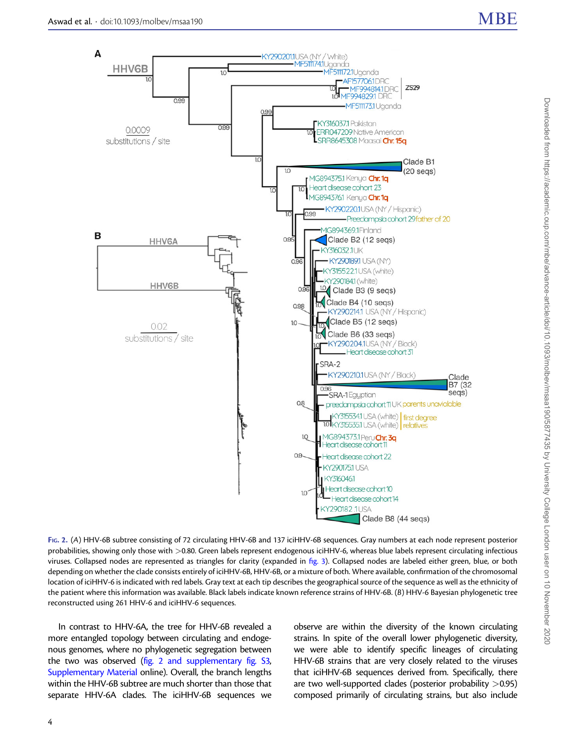<span id="page-3-0"></span>

FIG. 2. (A) HHV-6B subtree consisting of 72 circulating HHV-6B and 137 iciHHV-6B sequences. Gray numbers at each node represent posterior probabilities, showing only those with >0.80. Green labels represent endogenous iciHHV-6, whereas blue labels represent circulating infectious viruses. Collapsed nodes are represented as triangles for clarity (expanded in [fig. 3](#page-4-0)). Collapsed nodes are labeled either green, blue, or both depending on whether the clade consists entirely of iciHHV-6B, HHV-6B, or a mixture of both. Where available, confirmation of the chromosomal location of iciHHV-6 is indicated with red labels. Gray text at each tip describes the geographical source of the sequence as well as the ethnicity of the patient where this information was available. Black labels indicate known reference strains of HHV-6B. (B) HHV-6 Bayesian phylogenetic tree reconstructed using 261 HHV-6 and iciHHV-6 sequences.

In contrast to HHV-6A, the tree for HHV-6B revealed a more entangled topology between circulating and endogenous genomes, where no phylogenetic segregation between the two was observed (fig. 2 and supplementary fig. S3, Supplementary Material online). Overall, the branch lengths within the HHV-6B subtree are much shorter than those that separate HHV-6A clades. The iciHHV-6B sequences we

observe are within the diversity of the known circulating strains. In spite of the overall lower phylogenetic diversity, we were able to identify specific lineages of circulating HHV-6B strains that are very closely related to the viruses that iciHHV-6B sequences derived from. Specifically, there are two well-supported clades (posterior probability  $>0.95$ ) composed primarily of circulating strains, but also include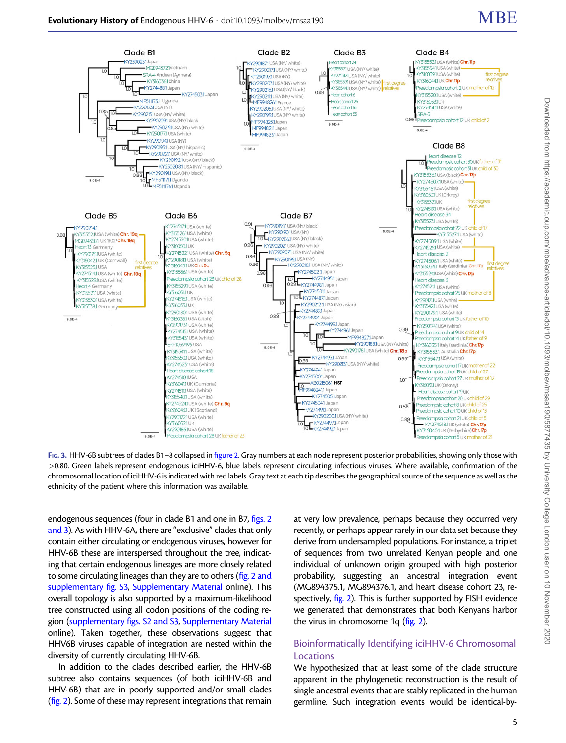<span id="page-4-0"></span>

FIG. 3. HHV-6B subtrees of clades B1–8 collapsed in [figure 2.](#page-3-0) Gray numbers at each node represent posterior probabilities, showing only those with >0.80. Green labels represent endogenous iciHHV-6, blue labels represent circulating infectious viruses. Where available, confirmation of the chromosomal location of iciHHV-6 is indicated with red labels. Gray text at each tip describes the geographical source of the sequence as well as the ethnicity of the patient where this information was available.

endogenous sequences (four in clade B1 and one in B7, [figs. 2](#page-3-0) [and 3\)](#page-3-0). As with HHV-6A, there are "exclusive" clades that only contain either circulating or endogenous viruses, however for HHV-6B these are interspersed throughout the tree, indicating that certain endogenous lineages are more closely related to some circulating lineages than they are to others [\(fig. 2 and](#page-3-0) supplementary fig. S3, Supplementary Material online). This overall topology is also supported by a maximum-likelihood tree constructed using all codon positions of the coding region (supplementary figs. S2 and S3, Supplementary Material online). Taken together, these observations suggest that HHV6B viruses capable of integration are nested within the diversity of currently circulating HHV-6B.

In addition to the clades described earlier, the HHV-6B subtree also contains sequences (of both iciHHV-6B and HHV-6B) that are in poorly supported and/or small clades ([fig. 2](#page-3-0)). Some of these may represent integrations that remain at very low prevalence, perhaps because they occurred very recently, or perhaps appear rarely in our data set because they derive from undersampled populations. For instance, a triplet of sequences from two unrelated Kenyan people and one individual of unknown origin grouped with high posterior probability, suggesting an ancestral integration event (MG894375.1, MG894376.1, and heart disease cohort 23, respectively, [fig. 2\)](#page-3-0). This is further supported by FISH evidence we generated that demonstrates that both Kenyans harbor the virus in chromosome 1q ([fig. 2\)](#page-3-0).

# Bioinformatically Identifying iciHHV-6 Chromosomal Locations

We hypothesized that at least some of the clade structure apparent in the phylogenetic reconstruction is the result of single ancestral events that are stably replicated in the human germline. Such integration events would be identical-by-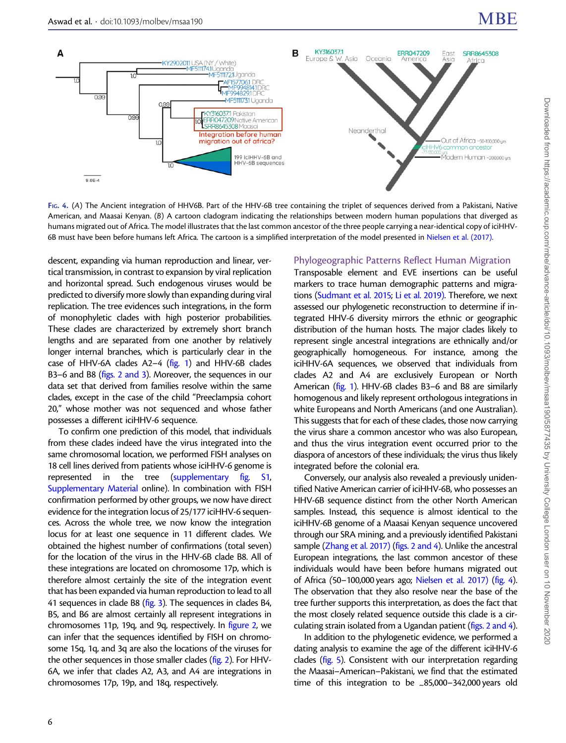

FIG. 4. (A) The Ancient integration of HHV6B. Part of the HHV-6B tree containing the triplet of sequences derived from a Pakistani, Native American, and Maasai Kenyan. (B) A cartoon cladogram indicating the relationships between modern human populations that diverged as humans migrated out of Africa. The model illustrates that the last common ancestor of the three people carrying a near-identical copy of iciHHV-6B must have been before humans left Africa. The cartoon is a simplified interpretation of the model presented in [Nielsen et al. \(2017\).](#page-10-0)

descent, expanding via human reproduction and linear, vertical transmission, in contrast to expansion by viral replication and horizontal spread. Such endogenous viruses would be predicted to diversify more slowly than expanding during viral replication. The tree evidences such integrations, in the form of monophyletic clades with high posterior probabilities. These clades are characterized by extremely short branch lengths and are separated from one another by relatively longer internal branches, which is particularly clear in the case of HHV-6A clades  $A2-4$  [\(fig. 1](#page-2-0)) and HHV-6B clades B3–6 and B8 [\(figs. 2 and 3\)](#page-3-0). Moreover, the sequences in our data set that derived from families resolve within the same clades, except in the case of the child "Preeclampsia cohort 20," whose mother was not sequenced and whose father possesses a different iciHHV-6 sequence.

To confirm one prediction of this model, that individuals from these clades indeed have the virus integrated into the same chromosomal location, we performed FISH analyses on 18 cell lines derived from patients whose iciHHV-6 genome is represented in the tree (supplementary fig. S1, Supplementary Material online). In combination with FISH confirmation performed by other groups, we now have direct evidence for the integration locus of 25/177 iciHHV-6 sequences. Across the whole tree, we now know the integration locus for at least one sequence in 11 different clades. We obtained the highest number of confirmations (total seven) for the location of the virus in the HHV-6B clade B8. All of these integrations are located on chromosome 17p, which is therefore almost certainly the site of the integration event that has been expanded via human reproduction to lead to all 41 sequences in clade B8 [\(fig. 3\)](#page-4-0). The sequences in clades B4, B5, and B6 are almost certainly all represent integrations in chromosomes 11p, 19q, and 9q, respectively. In [figure 2,](#page-3-0) we can infer that the sequences identified by FISH on chromosome 15q, 1q, and 3q are also the locations of the viruses for the other sequences in those smaller clades [\(fig. 2](#page-3-0)). For HHV-6A, we infer that clades A2, A3, and A4 are integrations in chromosomes 17p, 19p, and 18q, respectively.

Phylogeographic Patterns Reflect Human Migration Transposable element and EVE insertions can be useful

markers to trace human demographic patterns and migrations [\(Sudmant et al. 2015;](#page-11-0) [Li et al. 2019\).](#page-10-0) Therefore, we next assessed our phylogenetic reconstruction to determine if integrated HHV-6 diversity mirrors the ethnic or geographic distribution of the human hosts. The major clades likely to represent single ancestral integrations are ethnically and/or geographically homogeneous. For instance, among the iciHHV-6A sequences, we observed that individuals from clades A2 and A4 are exclusively European or North American ([fig. 1](#page-2-0)). HHV-6B clades B3–6 and B8 are similarly homogenous and likely represent orthologous integrations in white Europeans and North Americans (and one Australian). This suggests that for each of these clades, those now carrying the virus share a common ancestor who was also European, and thus the virus integration event occurred prior to the diaspora of ancestors of these individuals; the virus thus likely integrated before the colonial era.

Conversely, our analysis also revealed a previously unidentified Native American carrier of iciHHV-6B, who possesses an HHV-6B sequence distinct from the other North American samples. Instead, this sequence is almost identical to the iciHHV-6B genome of a Maasai Kenyan sequence uncovered through our SRA mining, and a previously identified Pakistani sample [\(Zhang et al. 2017\)](#page-11-0) [\(figs. 2 and 4\)](#page-3-0). Unlike the ancestral European integrations, the last common ancestor of these individuals would have been before humans migrated out of Africa (50–100,000 years ago; [Nielsen et al. 2017\)](#page-10-0) (fig. 4). The observation that they also resolve near the base of the tree further supports this interpretation, as does the fact that the most closely related sequence outside this clade is a circulating strain isolated from a Ugandan patient [\(figs. 2 and 4\)](#page-3-0).

In addition to the phylogenetic evidence, we performed a dating analysis to examine the age of the different iciHHV-6 clades ([fig. 5\)](#page-6-0). Consistent with our interpretation regarding the Maasai–American–Pakistani, we find that the estimated time of this integration to be  $\leq 85,000-342,000$  years old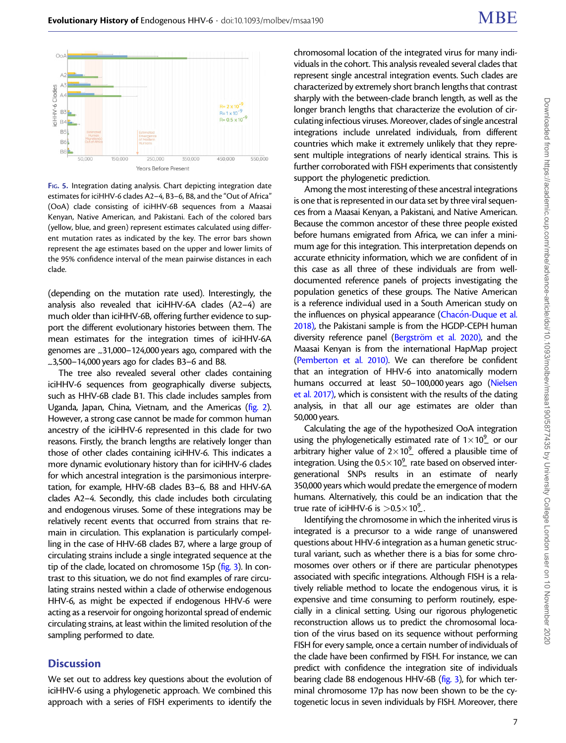<span id="page-6-0"></span>

FIG. 5. Integration dating analysis. Chart depicting integration date estimates for iciHHV-6 clades A2–4, B3–6, B8, and the "Out of Africa" (OoA) clade consisting of iciHHV-6B sequences from a Maasai Kenyan, Native American, and Pakistani. Each of the colored bars (yellow, blue, and green) represent estimates calculated using different mutation rates as indicated by the key. The error bars shown represent the age estimates based on the upper and lower limits of the 95% confidence interval of the mean pairwise distances in each clade.

(depending on the mutation rate used). Interestingly, the analysis also revealed that iciHHV-6A clades (A2–4) are much older than iciHHV-6B, offering further evidence to support the different evolutionary histories between them. The mean estimates for the integration times of iciHHV-6A genomes are \_31,000-124,000 years ago, compared with the  $-3,500-14,000$  years ago for clades B3-6 and B8.

The tree also revealed several other clades containing iciHHV-6 sequences from geographically diverse subjects, such as HHV-6B clade B1. This clade includes samples from Uganda, Japan, China, Vietnam, and the Americas [\(fig. 2\)](#page-3-0). However, a strong case cannot be made for common human ancestry of the iciHHV-6 represented in this clade for two reasons. Firstly, the branch lengths are relatively longer than those of other clades containing iciHHV-6. This indicates a more dynamic evolutionary history than for iciHHV-6 clades for which ancestral integration is the parsimonious interpretation, for example, HHV-6B clades B3–6, B8 and HHV-6A clades A2–4. Secondly, this clade includes both circulating and endogenous viruses. Some of these integrations may be relatively recent events that occurred from strains that remain in circulation. This explanation is particularly compelling in the case of HHV-6B clades B7, where a large group of circulating strains include a single integrated sequence at the tip of the clade, located on chromosome 15p [\(fig. 3](#page-4-0)). In contrast to this situation, we do not find examples of rare circulating strains nested within a clade of otherwise endogenous HHV-6, as might be expected if endogenous HHV-6 were acting as a reservoir for ongoing horizontal spread of endemic circulating strains, at least within the limited resolution of the sampling performed to date.

#### **Discussion**

We set out to address key questions about the evolution of iciHHV-6 using a phylogenetic approach. We combined this approach with a series of FISH experiments to identify the

chromosomal location of the integrated virus for many individuals in the cohort. This analysis revealed several clades that represent single ancestral integration events. Such clades are characterized by extremely short branch lengths that contrast sharply with the between-clade branch length, as well as the longer branch lengths that characterize the evolution of circulating infectious viruses. Moreover, clades of single ancestral integrations include unrelated individuals, from different countries which make it extremely unlikely that they represent multiple integrations of nearly identical strains. This is further corroborated with FISH experiments that consistently support the phylogenetic prediction.

Among the most interesting of these ancestral integrations is one that is represented in our data set by three viral sequences from a Maasai Kenyan, a Pakistani, and Native American. Because the common ancestor of these three people existed before humans emigrated from Africa, we can infer a minimum age for this integration. This interpretation depends on accurate ethnicity information, which we are confident of in this case as all three of these individuals are from welldocumented reference panels of projects investigating the population genetics of these groups. The Native American is a reference individual used in a South American study on the influences on physical appearance ([Chac](#page-10-0)ón-Duque et al. [2018\),](#page-10-0) the Pakistani sample is from the HGDP-CEPH human diversity reference panel (Bergström et al. 2020), and the Maasai Kenyan is from the international HapMap project [\(Pemberton et al. 2010\)](#page-11-0). We can therefore be confident that an integration of HHV-6 into anatomically modern humans occurred at least 50–100,000 years ago [\(Nielsen](#page-10-0) [et al. 2017\),](#page-10-0) which is consistent with the results of the dating analysis, in that all our age estimates are older than 50,000 years.

Calculating the age of the hypothesized OoA integration using the phylogenetically estimated rate of  $1 \times 10^{9}$  or our arbitrary higher value of  $2\times10^9$  offered a plausible time of integration. Using the  $0.5 \times 10^{9}$  rate based on observed intergenerational SNPs results in an estimate of nearly 350,000 years which would predate the emergence of modern humans. Alternatively, this could be an indication that the true rate of iciHHV-6 is  $> 0.5 \times 10^{9}$ .

Identifying the chromosome in which the inherited virus is integrated is a precursor to a wide range of unanswered questions about HHV-6 integration as a human genetic structural variant, such as whether there is a bias for some chromosomes over others or if there are particular phenotypes associated with specific integrations. Although FISH is a relatively reliable method to locate the endogenous virus, it is expensive and time consuming to perform routinely, especially in a clinical setting. Using our rigorous phylogenetic reconstruction allows us to predict the chromosomal location of the virus based on its sequence without performing FISH for every sample, once a certain number of individuals of the clade have been confirmed by FISH. For instance, we can predict with confidence the integration site of individuals bearing clade B8 endogenous HHV-6B ([fig. 3\)](#page-4-0), for which terminal chromosome 17p has now been shown to be the cytogenetic locus in seven individuals by FISH. Moreover, there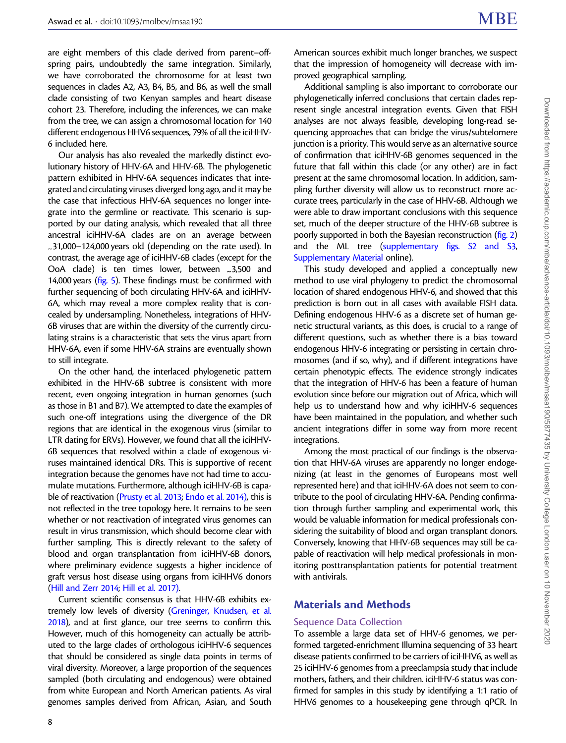are eight members of this clade derived from parent–offspring pairs, undoubtedly the same integration. Similarly, we have corroborated the chromosome for at least two sequences in clades A2, A3, B4, B5, and B6, as well the small clade consisting of two Kenyan samples and heart disease cohort 23. Therefore, including the inferences, we can make from the tree, we can assign a chromosomal location for 140 different endogenous HHV6 sequences, 79% of all the iciHHV-6 included here.

Our analysis has also revealed the markedly distinct evolutionary history of HHV-6A and HHV-6B. The phylogenetic pattern exhibited in HHV-6A sequences indicates that integrated and circulating viruses diverged long ago, and it may be the case that infectious HHV-6A sequences no longer integrate into the germline or reactivate. This scenario is supported by our dating analysis, which revealed that all three ancestral iciHHV-6A clades are on an average between <sup>~</sup>31,000–124,000 years old (depending on the rate used). In contrast, the average age of iciHHV-6B clades (except for the OoA clade) is ten times lower, between 23,500 and 14,000 years ([fig. 5](#page-6-0)). These findings must be confirmed with further sequencing of both circulating HHV-6A and iciHHV-6A, which may reveal a more complex reality that is concealed by undersampling. Nonetheless, integrations of HHV-6B viruses that are within the diversity of the currently circulating strains is a characteristic that sets the virus apart from HHV-6A, even if some HHV-6A strains are eventually shown to still integrate.

On the other hand, the interlaced phylogenetic pattern exhibited in the HHV-6B subtree is consistent with more recent, even ongoing integration in human genomes (such as those in B1 and B7). We attempted to date the examples of such one-off integrations using the divergence of the DR regions that are identical in the exogenous virus (similar to LTR dating for ERVs). However, we found that all the iciHHV-6B sequences that resolved within a clade of exogenous viruses maintained identical DRs. This is supportive of recent integration because the genomes have not had time to accumulate mutations. Furthermore, although iciHHV-6B is capable of reactivation ([Prusty et al. 2013](#page-11-0); [Endo et al. 2014\),](#page-10-0) this is not reflected in the tree topology here. It remains to be seen whether or not reactivation of integrated virus genomes can result in virus transmission, which should become clear with further sampling. This is directly relevant to the safety of blood and organ transplantation from iciHHV-6B donors, where preliminary evidence suggests a higher incidence of graft versus host disease using organs from iciHHV6 donors ([Hill and Zerr 2014;](#page-10-0) [Hill et al. 2017\)](#page-10-0).

Current scientific consensus is that HHV-6B exhibits extremely low levels of diversity [\(Greninger, Knudsen, et al.](#page-10-0) [2018\)](#page-10-0), and at first glance, our tree seems to confirm this. However, much of this homogeneity can actually be attributed to the large clades of orthologous iciHHV-6 sequences that should be considered as single data points in terms of viral diversity. Moreover, a large proportion of the sequences sampled (both circulating and endogenous) were obtained from white European and North American patients. As viral genomes samples derived from African, Asian, and South American sources exhibit much longer branches, we suspect that the impression of homogeneity will decrease with improved geographical sampling.

Additional sampling is also important to corroborate our phylogenetically inferred conclusions that certain clades represent single ancestral integration events. Given that FISH analyses are not always feasible, developing long-read sequencing approaches that can bridge the virus/subtelomere junction is a priority. This would serve as an alternative source of confirmation that iciHHV-6B genomes sequenced in the future that fall within this clade (or any other) are in fact present at the same chromosomal location. In addition, sampling further diversity will allow us to reconstruct more accurate trees, particularly in the case of HHV-6B. Although we were able to draw important conclusions with this sequence set, much of the deeper structure of the HHV-6B subtree is poorly supported in both the Bayesian reconstruction [\(fig. 2](#page-3-0)) and the ML tree (supplementary figs. S2 and S3, Supplementary Material online).

This study developed and applied a conceptually new method to use viral phylogeny to predict the chromosomal location of shared endogenous HHV-6, and showed that this prediction is born out in all cases with available FISH data. Defining endogenous HHV-6 as a discrete set of human genetic structural variants, as this does, is crucial to a range of different questions, such as whether there is a bias toward endogenous HHV-6 integrating or persisting in certain chromosomes (and if so, why), and if different integrations have certain phenotypic effects. The evidence strongly indicates that the integration of HHV-6 has been a feature of human evolution since before our migration out of Africa, which will help us to understand how and why iciHHV-6 sequences have been maintained in the population, and whether such ancient integrations differ in some way from more recent integrations.

Among the most practical of our findings is the observation that HHV-6A viruses are apparently no longer endogenizing (at least in the genomes of Europeans most well represented here) and that iciHHV-6A does not seem to contribute to the pool of circulating HHV-6A. Pending confirmation through further sampling and experimental work, this would be valuable information for medical professionals considering the suitability of blood and organ transplant donors. Conversely, knowing that HHV-6B sequences may still be capable of reactivation will help medical professionals in monitoring posttransplantation patients for potential treatment with antivirals.

# Materials and Methods

# Sequence Data Collection

To assemble a large data set of HHV-6 genomes, we performed targeted-enrichment Illumina sequencing of 33 heart disease patients confirmed to be carriers of iciHHV6, as well as 25 iciHHV-6 genomes from a preeclampsia study that include mothers, fathers, and their children. iciHHV-6 status was confirmed for samples in this study by identifying a 1:1 ratio of HHV6 genomes to a housekeeping gene through qPCR. In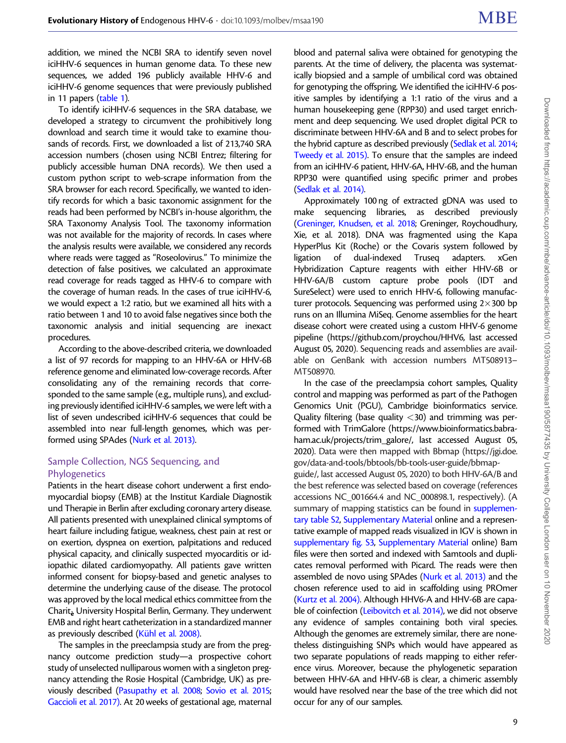addition, we mined the NCBI SRA to identify seven novel iciHHV-6 sequences in human genome data. To these new sequences, we added 196 publicly available HHV-6 and iciHHV-6 genome sequences that were previously published in 11 papers ([table 1](#page-1-0)).

To identify iciHHV-6 sequences in the SRA database, we developed a strategy to circumvent the prohibitively long download and search time it would take to examine thousands of records. First, we downloaded a list of 213,740 SRA accession numbers (chosen using NCBI Entrez; filtering for publicly accessible human DNA records). We then used a custom python script to web-scrape information from the SRA browser for each record. Specifically, we wanted to identify records for which a basic taxonomic assignment for the reads had been performed by NCBI's in-house algorithm, the SRA Taxonomy Analysis Tool. The taxonomy information was not available for the majority of records. In cases where the analysis results were available, we considered any records where reads were tagged as "Roseolovirus." To minimize the detection of false positives, we calculated an approximate read coverage for reads tagged as HHV-6 to compare with the coverage of human reads. In the cases of true iciHHV-6, we would expect a 1:2 ratio, but we examined all hits with a ratio between 1 and 10 to avoid false negatives since both the taxonomic analysis and initial sequencing are inexact procedures.

According to the above-described criteria, we downloaded a list of 97 records for mapping to an HHV-6A or HHV-6B reference genome and eliminated low-coverage records. After consolidating any of the remaining records that corresponded to the same sample (e.g., multiple runs), and excluding previously identified iciHHV-6 samples, we were left with a list of seven undescribed iciHHV-6 sequences that could be assembled into near full-length genomes, which was performed using SPAdes [\(Nurk et al. 2013\)](#page-10-0).

# Sample Collection, NGS Sequencing, and Phylogenetics

Patients in the heart disease cohort underwent a first endomyocardial biopsy (EMB) at the Institut Kardiale Diagnostik und Therapie in Berlin after excluding coronary artery disease. All patients presented with unexplained clinical symptoms of heart failure including fatigue, weakness, chest pain at rest or on exertion, dyspnea on exertion, palpitations and reduced physical capacity, and clinically suspected myocarditis or idiopathic dilated cardiomyopathy. All patients gave written informed consent for biopsy-based and genetic analyses to determine the underlying cause of the disease. The protocol was approved by the local medical ethics committee from the  $Charit<sub>a</sub>$  University Hospital Berlin, Germany. They underwent EMB and right heart catheterization in a standardized manner as previously described (Kühl et al. 2008).

The samples in the preeclampsia study are from the pregnancy outcome prediction study—a prospective cohort study of unselected nulliparous women with a singleton pregnancy attending the Rosie Hospital (Cambridge, UK) as previously described [\(Pasupathy et al. 2008](#page-10-0); [Sovio et al. 2015;](#page-11-0) [Gaccioli et al. 2017\).](#page-10-0) At 20 weeks of gestational age, maternal

blood and paternal saliva were obtained for genotyping the parents. At the time of delivery, the placenta was systematically biopsied and a sample of umbilical cord was obtained for genotyping the offspring. We identified the iciHHV-6 positive samples by identifying a 1:1 ratio of the virus and a human housekeeping gene (RPP30) and used target enrichment and deep sequencing. We used droplet digital PCR to discriminate between HHV-6A and B and to select probes for the hybrid capture as described previously [\(Sedlak et al. 2014;](#page-11-0) [Tweedy et al. 2015\)](#page-11-0). To ensure that the samples are indeed from an iciHHV-6 patient, HHV-6A, HHV-6B, and the human RPP30 were quantified using specific primer and probes [\(Sedlak et al. 2014\).](#page-11-0)

Approximately 100 ng of extracted gDNA was used to make sequencing libraries, as described previously [\(Greninger, Knudsen, et al. 2018;](#page-10-0) Greninger, Roychoudhury, Xie, et al. 2018). DNA was fragmented using the Kapa HyperPlus Kit (Roche) or the Covaris system followed by ligation of dual-indexed Truseq adapters. xGen Hybridization Capture reagents with either HHV-6B or HHV-6A/B custom capture probe pools (IDT and SureSelect) were used to enrich HHV-6, following manufacturer protocols. Sequencing was performed using  $2\times300$  bp runs on an Illumina MiSeq. Genome assemblies for the heart disease cohort were created using a custom HHV-6 genome pipeline [\(https://github.com/proychou/HHV6, last accessed](https://github.com/proychou/HHV6) [August 05, 2020\)](https://github.com/proychou/HHV6). Sequencing reads and assemblies are available on GenBank with accession numbers MT508913– MT508970.

In the case of the preeclampsia cohort samples, Quality control and mapping was performed as part of the Pathogen Genomics Unit (PGU), Cambridge bioinformatics service. Quality filtering (base quality <30) and trimming was performed with TrimGalore [\(https://www.bioinformatics.babra](https://www.bioinformatics.babraham.ac.uk/projects/trim_galore/)[ham.ac.uk/projects/trim\\_galore/, last accessed August 05,](https://www.bioinformatics.babraham.ac.uk/projects/trim_galore/) [2020](https://www.bioinformatics.babraham.ac.uk/projects/trim_galore/)). Data were then mapped with Bbmap ([https://jgi.doe.](https://jgi.doe.gov/data-and-tools/bbtools/bb-tools-user-guide/bbmap-guide/) [gov/data-and-tools/bbtools/bb-tools-user-guide/bbmap](https://jgi.doe.gov/data-and-tools/bbtools/bb-tools-user-guide/bbmap-guide/)[guide/, last accessed August 05, 2020](https://jgi.doe.gov/data-and-tools/bbtools/bb-tools-user-guide/bbmap-guide/)) to both HHV-6A/B and the best reference was selected based on coverage (references accessions NC\_001664.4 and NC\_000898.1, respectively). (A summary of mapping statistics can be found in supplementary table S2, Supplementary Material online and a representative example of mapped reads visualized in IGV is shown in supplementary fig. S3, Supplementary Material online) Bam files were then sorted and indexed with Samtools and duplicates removal performed with Picard. The reads were then assembled de novo using SPAdes [\(Nurk et al. 2013\)](#page-10-0) and the chosen reference used to aid in scaffolding using PROmer [\(Kurtz et al. 2004\).](#page-10-0) Although HHV6-A and HHV-6B are capa-ble of coinfection [\(Leibovitch et al. 2014\)](#page-10-0), we did not observe any evidence of samples containing both viral species. Although the genomes are extremely similar, there are nonetheless distinguishing SNPs which would have appeared as two separate populations of reads mapping to either reference virus. Moreover, because the phylogenetic separation between HHV-6A and HHV-6B is clear, a chimeric assembly would have resolved near the base of the tree which did not occur for any of our samples.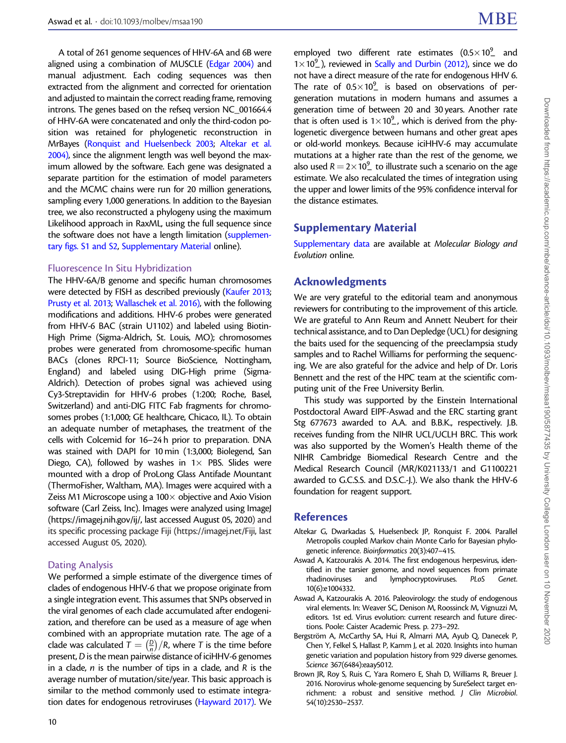<span id="page-9-0"></span>A total of 261 genome sequences of HHV-6A and 6B were aligned using a combination of MUSCLE [\(Edgar 2004\)](#page-10-0) and manual adjustment. Each coding sequences was then extracted from the alignment and corrected for orientation and adjusted to maintain the correct reading frame, removing introns. The genes based on the refseq version NC\_001664.4 of HHV-6A were concatenated and only the third-codon position was retained for phylogenetic reconstruction in MrBayes [\(Ronquist and Huelsenbeck 2003;](#page-11-0) Altekar et al. 2004), since the alignment length was well beyond the maximum allowed by the software. Each gene was designated a separate partition for the estimation of model parameters and the MCMC chains were run for 20 million generations, sampling every 1,000 generations. In addition to the Bayesian tree, we also reconstructed a phylogeny using the maximum Likelihood approach in RaxML, using the full sequence since the software does not have a length limitation (supplementary figs. S1 and S2, Supplementary Material online).

#### Fluorescence In Situ Hybridization

The HHV-6A/B genome and specific human chromosomes were detected by FISH as described previously [\(Kaufer 2013;](#page-10-0) [Prusty et al. 2013;](#page-11-0) [Wallaschek et al. 2016\)](#page-11-0), with the following modifications and additions. HHV-6 probes were generated from HHV-6 BAC (strain U1102) and labeled using Biotin-High Prime (Sigma-Aldrich, St. Louis, MO); chromosomes probes were generated from chromosome-specific human BACs (clones RPCI-11; Source BioScience, Nottingham, England) and labeled using DIG-High prime (Sigma-Aldrich). Detection of probes signal was achieved using Cy3-Streptavidin for HHV-6 probes (1:200; Roche, Basel, Switzerland) and anti-DIG FITC Fab fragments for chromosomes probes (1:1,000; GE healthcare, Chicaco, IL). To obtain an adequate number of metaphases, the treatment of the cells with Colcemid for 16–24 h prior to preparation. DNA was stained with DAPI for 10 min (1:3,000; Biolegend, San Diego, CA), followed by washes in  $1 \times$  PBS. Slides were mounted with a drop of ProLong Glass Antifade Mountant (ThermoFisher, Waltham, MA). Images were acquired with a Zeiss M1 Microscope using a  $100 \times$  objective and Axio Vision software (Carl Zeiss, Inc). Images were analyzed using ImageJ ([https://imagej.nih.gov/ij/, last accessed August 05, 2020](https://imagej.nih.gov/ij/)) and its specific processing package Fiji [\(https://imagej.net/Fiji, last](https://imagej.net/Fiji) [accessed August 05, 2020](https://imagej.net/Fiji)).

#### Dating Analysis

We performed a simple estimate of the divergence times of clades of endogenous HHV-6 that we propose originate from a single integration event. This assumes that SNPs observed in the viral genomes of each clade accumulated after endogenization, and therefore can be used as a measure of age when combined with an appropriate mutation rate. The age of a clade was calculated  $T = \left(\frac{D}{n}\right)$  $\left(\frac{D}{n}\right)/R$ , where T is the time before present, D is the mean pairwise distance of iciHHV-6 genomes in a clade,  $n$  is the number of tips in a clade, and  $R$  is the average number of mutation/site/year. This basic approach is similar to the method commonly used to estimate integration dates for endogenous retroviruses [\(Hayward 2017\)](#page-10-0). We

employed two different rate estimates  $(0.5 \times 10^{9})$  and  $1 \times 10^{9}$ , reviewed in [Scally and Durbin \(2012\)](#page-11-0), since we do not have a direct measure of the rate for endogenous HHV 6. The rate of  $0.5 \times 10^{9}$  is based on observations of pergeneration mutations in modern humans and assumes a generation time of between 20 and 30 years. Another rate that is often used is  $1 \times 10^9$ , which is derived from the phylogenetic divergence between humans and other great apes or old-world monkeys. Because iciHHV-6 may accumulate mutations at a higher rate than the rest of the genome, we also used  $R = 2 \times 10^9$  to illustrate such a scenario on the age estimate. We also recalculated the times of integration using the upper and lower limits of the 95% confidence interval for the distance estimates.

# Supplementary Material

Supplementary data are available at Molecular Biology and Evolution online.

# Acknowledgments

We are very grateful to the editorial team and anonymous reviewers for contributing to the improvement of this article. We are grateful to Ann Reum and Annett Neubert for their technical assistance, and to Dan Depledge (UCL) for designing the baits used for the sequencing of the preeclampsia study samples and to Rachel Williams for performing the sequencing. We are also grateful for the advice and help of Dr. Loris Bennett and the rest of the HPC team at the scientific computing unit of the Free University Berlin.

This study was supported by the Einstein International Postdoctoral Award EIPF-Aswad and the ERC starting grant Stg 677673 awarded to A.A. and B.B.K., respectively. J.B. receives funding from the NIHR UCL/UCLH BRC. This work was also supported by the Women's Health theme of the NIHR Cambridge Biomedical Research Centre and the Medical Research Council (MR/K021133/1 and G1100221 awarded to G.C.S.S. and D.S.C.-J.). We also thank the HHV-6 foundation for reagent support.

# References

- Altekar G, Dwarkadas S, Huelsenbeck JP, Ronquist F. 2004. Parallel Metropolis coupled Markov chain Monte Carlo for Bayesian phylogenetic inference. Bioinformatics 20(3):407–415.
- Aswad A, Katzourakis A. 2014. The first endogenous herpesvirus, identified in the tarsier genome, and novel sequences from primate rhadinoviruses and lymphocryptoviruses. PLoS Genet. 10(6):e1004332.
- Aswad A, Katzourakis A. 2016. Paleovirology: the study of endogenous viral elements. In: Weaver SC, Denison M, Roossinck M, Vignuzzi M, editors. 1st ed. Virus evolution: current research and future directions. Poole: Caister Academic Press. p. 273–292.
- Bergström A, McCarthy SA, Hui R, Almarri MA, Ayub Q, Danecek P, Chen Y, Felkel S, Hallast P, Kamm J, et al. 2020. Insights into human genetic variation and population history from 929 diverse genomes. Science 367(6484):eaay5012.
- Brown JR, Roy S, Ruis C, Yara Romero E, Shah D, Williams R, Breuer J. 2016. Norovirus whole-genome sequencing by SureSelect target enrichment: a robust and sensitive method. J Clin Microbiol. 54(10):2530–2537.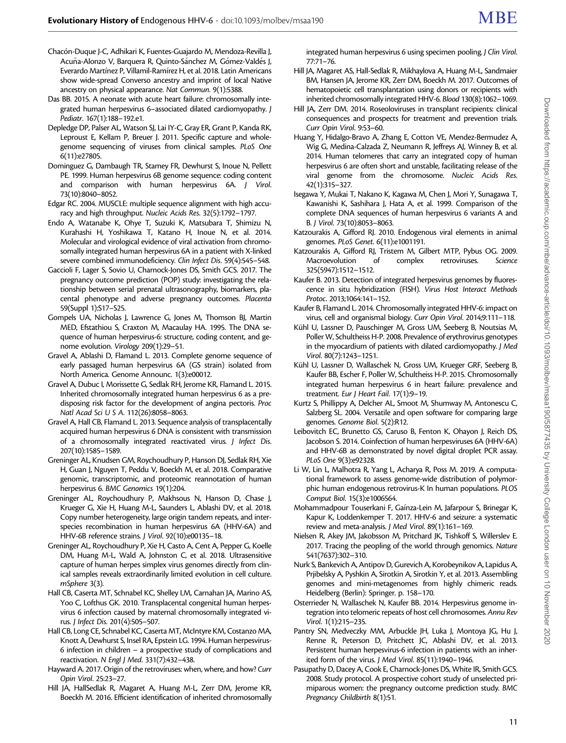- <span id="page-10-0"></span>Chacón-Duque J-C, Adhikari K, Fuentes-Guajardo M, Mendoza-Revilla J, Acuña-Alonzo V, Barquera R, Quinto-Sánchez M, Gómez-Valdés J, Everardo Martínez P, Villamil-Ramírez H, et al. 2018. Latin Americans show wide-spread Converso ancestry and imprint of local Native ancestry on physical appearance. Nat Commun. 9(1):5388.
- Das BB. 2015. A neonate with acute heart failure: chromosomally integrated human herpesvirus 6–associated dilated cardiomyopathy. J Pediatr. 167(1):188–192.e1.
- Depledge DP, Palser AL, Watson SJ, Lai IY-C, Gray ER, Grant P, Kanda RK, Leproust E, Kellam P, Breuer J. 2011. Specific capture and wholegenome sequencing of viruses from clinical samples. PLoS One 6(11):e27805.
- Dominguez G, Dambaugh TR, Stamey FR, Dewhurst S, Inoue N, Pellett PE. 1999. Human herpesvirus 6B genome sequence: coding content and comparison with human herpesvirus 6A. J Virol. 73(10):8040–8052.
- Edgar RC. 2004. MUSCLE: multiple sequence alignment with high accuracy and high throughput. Nucleic Acids Res. 32(5):1792–1797.
- Endo A, Watanabe K, Ohye T, Suzuki K, Matsubara T, Shimizu N, Kurahashi H, Yoshikawa T, Katano H, Inoue N, et al. 2014. Molecular and virological evidence of viral activation from chromosomally integrated human herpesvirus 6A in a patient with X-linked severe combined immunodeficiency. Clin Infect Dis. 59(4):545–548.
- Gaccioli F, Lager S, Sovio U, Charnock-Jones DS, Smith GCS. 2017. The pregnancy outcome prediction (POP) study: investigating the relationship between serial prenatal ultrasonography, biomarkers, placental phenotype and adverse pregnancy outcomes. Placenta 59(Suppl 1):S17–S25.
- Gompels UA, Nicholas J, Lawrence G, Jones M, Thomson BJ, Martin MED, Efstathiou S, Craxton M, Macaulay HA. 1995. The DNA sequence of human herpesvirus-6: structure, coding content, and genome evolution. Virology 209(1):29–51.
- Gravel A, Ablashi D, Flamand L. 2013. Complete genome sequence of early passaged human herpesvirus 6A (GS strain) isolated from North America. Genome Announc. 1(3):e00012.
- Gravel A, Dubuc I, Morissette G, Sedlak RH, Jerome KR, Flamand L. 2015. Inherited chromosomally integrated human herpesvirus 6 as a predisposing risk factor for the development of angina pectoris. Proc Natl Acad Sci U S A. 112(26):8058–8063.
- Gravel A, Hall CB, Flamand L. 2013. Sequence analysis of transplacentally acquired human herpesvirus 6 DNA is consistent with transmission of a chromosomally integrated reactivated virus. J Infect Dis. 207(10):1585–1589.
- Greninger AL, Knudsen GM, Roychoudhury P, Hanson DJ, Sedlak RH, Xie H, Guan J, Nguyen T, Peddu V, Boeckh M, et al. 2018. Comparative genomic, transcriptomic, and proteomic reannotation of human herpesvirus 6. BMC Genomics 19(1):204.
- Greninger AL, Roychoudhury P, Makhsous N, Hanson D, Chase J, Krueger G, Xie H, Huang M-L, Saunders L, Ablashi DV, et al. 2018. Copy number heterogeneity, large origin tandem repeats, and interspecies recombination in human herpesvirus 6A (HHV-6A) and HHV-6B reference strains. J Virol. 92(10):e00135–18.
- Greninger AL, Roychoudhury P, Xie H, Casto A, Cent A, Pepper G, Koelle DM, Huang M-L, Wald A, Johnston C, et al. 2018. Ultrasensitive capture of human herpes simplex virus genomes directly from clinical samples reveals extraordinarily limited evolution in cell culture. mSphere 3(3).
- Hall CB, Caserta MT, Schnabel KC, Shelley LM, Carnahan JA, Marino AS, Yoo C, Lofthus GK. 2010. Transplacental congenital human herpesvirus 6 infection caused by maternal chromosomally integrated virus. J Infect Dis. 201(4):505–507.
- Hall CB, Long CE, Schnabel KC, Caserta MT, McIntyre KM, Costanzo MA, Knott A, Dewhurst S, Insel RA, Epstein LG. 1994. Human herpesvirus-6 infection in children – a prospective study of complications and reactivation. N Engl J Med. 331(7):432–438.
- Hayward A. 2017. Origin of the retroviruses: when, where, and how? Curr Opin Virol. 25:23–27.
- Hill JA, HallSedlak R, Magaret A, Huang M-L, Zerr DM, Jerome KR, Boeckh M. 2016. Efficient identification of inherited chromosomally

integrated human herpesvirus 6 using specimen pooling. J Clin Virol. 77:71–76.

- Hill JA, Magaret AS, Hall-Sedlak R, Mikhaylova A, Huang M-L, Sandmaier BM, Hansen JA, Jerome KR, Zerr DM, Boeckh M. 2017. Outcomes of hematopoietic cell transplantation using donors or recipients with inherited chromosomally integrated HHV-6. Blood 130(8):1062–1069.
- Hill JA, Zerr DM. 2014. Roseoloviruses in transplant recipients: clinical consequences and prospects for treatment and prevention trials. Curr Opin Virol. 9:53–60.
- Huang Y, Hidalgo-Bravo A, Zhang E, Cotton VE, Mendez-Bermudez A, Wig G, Medina-Calzada Z, Neumann R, Jeffreys AJ, Winney B, et al. 2014. Human telomeres that carry an integrated copy of human herpesvirus 6 are often short and unstable, facilitating release of the viral genome from the chromosome. Nucleic Acids Res. 42(1):315–327.
- Isegawa Y, Mukai T, Nakano K, Kagawa M, Chen J, Mori Y, Sunagawa T, Kawanishi K, Sashihara J, Hata A, et al. 1999. Comparison of the complete DNA sequences of human herpesvirus 6 variants A and B. J Virol. 73(10):8053–8063.
- Katzourakis A, Gifford RJ. 2010. Endogenous viral elements in animal genomes. PLoS Genet. 6(11):e1001191.
- Katzourakis A, Gifford RJ, Tristem M, Gilbert MTP, Pybus OG. 2009. Macroevolution of complex retroviruses. Science 325(5947):1512–1512.
- Kaufer B. 2013. Detection of integrated herpesvirus genomes by fluorescence in situ hybridization (FISH). Virus Host Interact Methods Protoc. 2013;1064:141–152.
- Kaufer B, Flamand L. 2014. Chromosomally integrated HHV-6: impact on virus, cell and organismal biology. Curr Opin Virol. 2014;9:111–118.
- Kühl U, Lassner D, Pauschinger M, Gross UM, Seeberg B, Noutsias M, Poller W, Schultheiss H-P. 2008. Prevalence of erythrovirus genotypes in the myocardium of patients with dilated cardiomyopathy. J Med Virol. 80(7):1243–1251.
- Kühl U, Lassner D, Wallaschek N, Gross UM, Krueger GRF, Seeberg B, Kaufer BB, Escher F, Poller W, Schultheiss H-P. 2015. Chromosomally integrated human herpesvirus 6 in heart failure: prevalence and treatment. Eur J Heart Fail. 17(1):9–19.
- Kurtz S, Phillippy A, Delcher AL, Smoot M, Shumway M, Antonescu C, Salzberg SL. 2004. Versatile and open software for comparing large genomes. Genome Biol. 5(2):R12.
- Leibovitch EC, Brunetto GS, Caruso B, Fenton K, Ohayon J, Reich DS, Jacobson S. 2014. Coinfection of human herpesviruses 6A (HHV-6A) and HHV-6B as demonstrated by novel digital droplet PCR assay. PLoS One 9(3):e92328.
- Li W, Lin L, Malhotra R, Yang L, Acharya R, Poss M. 2019. A computational framework to assess genome-wide distribution of polymorphic human endogenous retrovirus-K In human populations. PLOS Comput Biol. 15(3):e1006564.
- Mohammadpour Touserkani F, Gaínza-Lein M, Jafarpour S, Brinegar K, Kapur K, Loddenkemper T. 2017. HHV-6 and seizure: a systematic review and meta-analysis. J Med Virol. 89(1):161–169.
- Nielsen R, Akey JM, Jakobsson M, Pritchard JK, Tishkoff S, Willerslev E. 2017. Tracing the peopling of the world through genomics. Nature 541(7637):302–310.
- Nurk S, Bankevich A, Antipov D, Gurevich A, Korobeynikov A, Lapidus A, Prjibelsky A, Pyshkin A, Sirotkin A, Sirotkin Y, et al. 2013. Assembling genomes and mini-metagenomes from highly chimeric reads. Heidelberg (Berlin): Springer. p. 158–170.
- Osterrieder N, Wallaschek N, Kaufer BB. 2014. Herpesvirus genome integration into telomeric repeats of host cell chromosomes. Annu Rev Virol. 1(1):215–235.
- Pantry SN, Medveczky MM, Arbuckle JH, Luka J, Montoya JG, Hu J, Renne R, Peterson D, Pritchett JC, Ablashi DV, et al. 2013. Persistent human herpesvirus-6 infection in patients with an inherited form of the virus. J Med Virol. 85(11):1940–1946.
- Pasupathy D, Dacey A, Cook E, Charnock-Jones DS, White IR, Smith GCS. 2008. Study protocol. A prospective cohort study of unselected primiparous women: the pregnancy outcome prediction study. BMC Pregnancy Childbirth 8(1):51.